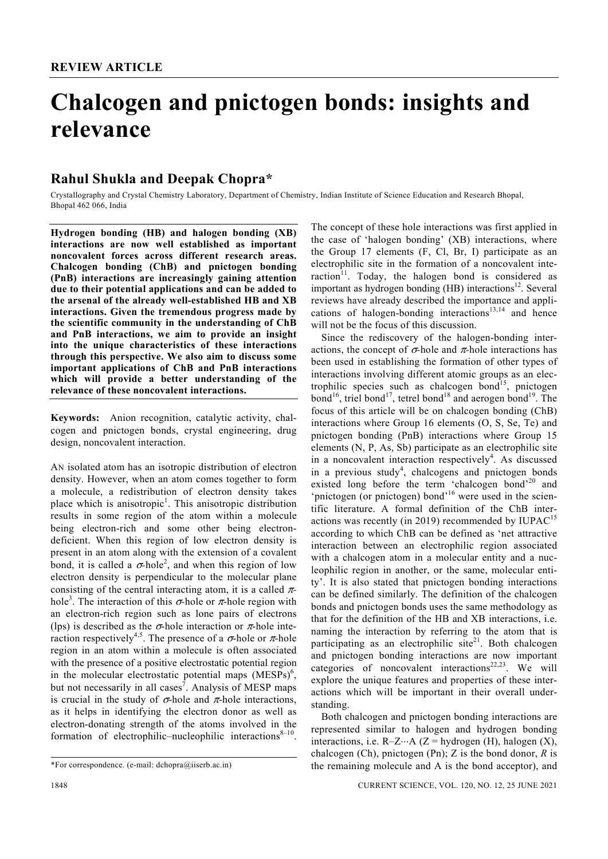# **Chalcogen and pnictogen bonds: insights and relevance**

# **Rahul Shukla and Deepak Chopra\***

Crystallography and Crystal Chemistry Laboratory, Department of Chemistry, Indian Institute of Science Education and Research Bhopal, Bhopal 462 066, India

**Hydrogen bonding (HB) and halogen bonding (XB) interactions are now well established as important noncovalent forces across different research areas. Chalcogen bonding (ChB) and pnictogen bonding (PnB) interactions are increasingly gaining attention due to their potential applications and can be added to the arsenal of the already well-established HB and XB interactions. Given the tremendous progress made by the scientific community in the understanding of ChB and PnB interactions, we aim to provide an insight into the unique characteristics of these interactions through this perspective. We also aim to discuss some important applications of ChB and PnB interactions which will provide a better understanding of the relevance of these noncovalent interactions.** 

**Keywords:** Anion recognition, catalytic activity, chalcogen and pnictogen bonds, crystal engineering, drug design, noncovalent interaction.

AN isolated atom has an isotropic distribution of electron density. However, when an atom comes together to form a molecule, a redistribution of electron density takes place which is anisotropic<sup>1</sup>. This anisotropic distribution results in some region of the atom within a molecule being electron-rich and some other being electrondeficient. When this region of low electron density is present in an atom along with the extension of a covalent bond, it is called a  $\sigma$ -hole<sup>2</sup>, and when this region of low electron density is perpendicular to the molecular plane consisting of the central interacting atom, it is a called πhole<sup>3</sup>. The interaction of this  $\sigma$ -hole or  $\pi$ -hole region with an electron-rich region such as lone pairs of electrons (lps) is described as the  $\sigma$ -hole interaction or  $\pi$ -hole interaction respectively<sup>4,5</sup>. The presence of a  $\sigma$ -hole or  $\pi$ -hole region in an atom within a molecule is often associated with the presence of a positive electrostatic potential region in the molecular electrostatic potential maps  $(MESPs)^6$ , but not necessarily in all cases<sup>7</sup>. Analysis of MESP maps is crucial in the study of  $\sigma$ -hole and  $\pi$ -hole interactions, as it helps in identifying the electron donor as well as electron-donating strength of the atoms involved in the formation of electrophilic–nucleophilic interactions $8-10$ .

raction<sup>11</sup>. Today, the halogen bond is considered as important as hydrogen bonding (HB) interactions<sup>12</sup>. Several reviews have already described the importance and applications of halogen-bonding interactions<sup>13,14</sup> and hence will not be the focus of this discussion. Since the rediscovery of the halogen-bonding interactions, the concept of  $\sigma$ -hole and  $\pi$ -hole interactions has

The concept of these hole interactions was first applied in the case of 'halogen bonding' (XB) interactions, where the Group 17 elements (F, Cl, Br, I) participate as an electrophilic site in the formation of a noncovalent inte-

been used in establishing the formation of other types of interactions involving different atomic groups as an electrophilic species such as chalcogen bond<sup>15</sup>, pnictogen bond<sup>16</sup>, triel bond<sup>17</sup>, tetrel bond<sup>18</sup> and aerogen bond<sup>19</sup>. The focus of this article will be on chalcogen bonding (ChB) interactions where Group 16 elements (O, S, Se, Te) and pnictogen bonding (PnB) interactions where Group 15 elements (N, P, As, Sb) participate as an electrophilic site in a noncovalent interaction respectively<sup>4</sup>. As discussed in a previous study<sup>4</sup>, chalcogens and pnictogen bonds existed long before the term 'chalcogen bond'<sup>20</sup> and 'pnictogen (or pnictogen) bond'<sup>16</sup> were used in the scientific literature. A formal definition of the ChB interactions was recently (in 2019) recommended by  $IUPAC<sup>15</sup>$ according to which ChB can be defined as 'net attractive interaction between an electrophilic region associated with a chalcogen atom in a molecular entity and a nucleophilic region in another, or the same, molecular entity'. It is also stated that pnictogen bonding interactions can be defined similarly. The definition of the chalcogen bonds and pnictogen bonds uses the same methodology as that for the definition of the HB and XB interactions, i.e. naming the interaction by referring to the atom that is participating as an electrophilic site<sup>21</sup>. Both chalcogen and pnictogen bonding interactions are now important categories of noncovalent interactions $22,23$ . We will explore the unique features and properties of these interactions which will be important in their overall understanding.

 Both chalcogen and pnictogen bonding interactions are represented similar to halogen and hydrogen bonding interactions, i.e.  $R-Z...A$  ( $Z = hydrogen$  (H), halogen (X), chalcogen (Ch), pnictogen (Pn); Z is the bond donor, *R* is the remaining molecule and A is the bond acceptor), and

<sup>\*</sup>For correspondence. (e-mail: dchopra@iiserb.ac.in)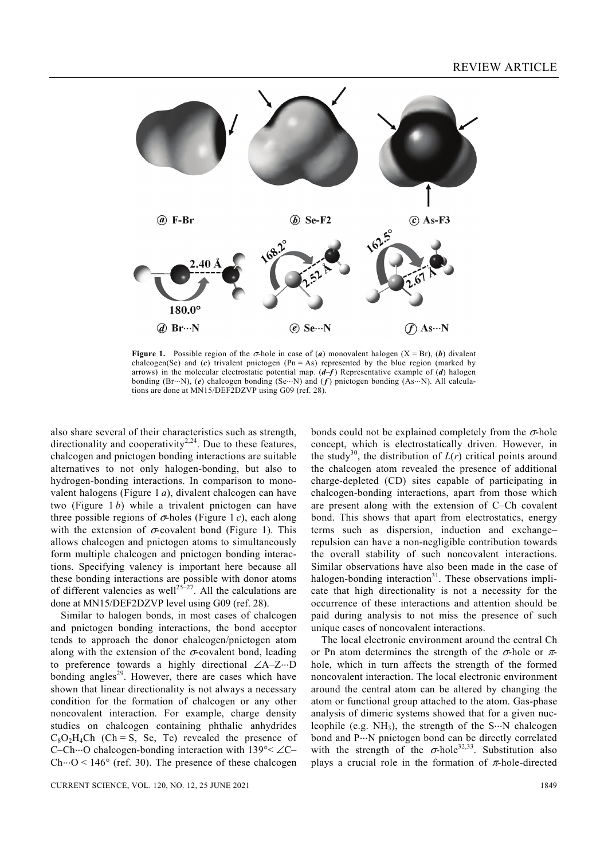

**Figure 1.** Possible region of the  $\sigma$ -hole in case of (*a*) monovalent halogen (X = Br), (*b*) divalent chalcogen(Se) and  $(c)$  trivalent pnictogen  $(Ph = As)$  represented by the blue region (marked by arrows) in the molecular electrostatic potential map. (*d*–*f* ) Representative example of (*d*) halogen bonding (Br⋅⋅⋅N), (*e*) chalcogen bonding (Se⋅⋅⋅N) and ( *f* ) pnictogen bonding (As⋅⋅⋅N). All calculations are done at MN15/DEF2DZVP using G09 (ref. 28).

also share several of their characteristics such as strength, directionality and cooperativity<sup>2,24</sup>. Due to these features, chalcogen and pnictogen bonding interactions are suitable alternatives to not only halogen-bonding, but also to hydrogen-bonding interactions. In comparison to monovalent halogens (Figure 1 *a*), divalent chalcogen can have two (Figure 1 *b*) while a trivalent pnictogen can have three possible regions of  $\sigma$ -holes (Figure 1 *c*), each along with the extension of  $\sigma$ -covalent bond (Figure 1). This allows chalcogen and pnictogen atoms to simultaneously form multiple chalcogen and pnictogen bonding interactions. Specifying valency is important here because all these bonding interactions are possible with donor atoms of different valencies as well<sup>25–27</sup>. All the calculations are done at MN15/DEF2DZVP level using G09 (ref. 28).

 Similar to halogen bonds, in most cases of chalcogen and pnictogen bonding interactions, the bond acceptor tends to approach the donor chalcogen/pnictogen atom along with the extension of the  $\sigma$ -covalent bond, leading to preference towards a highly directional ∠A–Z⋅⋅⋅D bonding angles<sup>29</sup>. However, there are cases which have shown that linear directionality is not always a necessary condition for the formation of chalcogen or any other noncovalent interaction. For example, charge density studies on chalcogen containing phthalic anhydrides  $C_8O_2H_4Ch$  (Ch = S, Se, Te) revealed the presence of C–Ch⋅⋅⋅O chalcogen-bonding interaction with 139°< ∠C– Ch $\cdot$  O < 146 $\circ$  (ref. 30). The presence of these chalcogen bonds could not be explained completely from the  $\sigma$ -hole concept, which is electrostatically driven. However, in the study<sup>30</sup>, the distribution of  $L(r)$  critical points around the chalcogen atom revealed the presence of additional charge-depleted (CD) sites capable of participating in chalcogen-bonding interactions, apart from those which are present along with the extension of C–Ch covalent bond. This shows that apart from electrostatics, energy terms such as dispersion, induction and exchange– repulsion can have a non-negligible contribution towards the overall stability of such noncovalent interactions. Similar observations have also been made in the case of halogen-bonding interaction $31$ . These observations implicate that high directionality is not a necessity for the occurrence of these interactions and attention should be paid during analysis to not miss the presence of such unique cases of noncovalent interactions.

 The local electronic environment around the central Ch or Pn atom determines the strength of the  $\sigma$ -hole or  $\pi$ hole, which in turn affects the strength of the formed noncovalent interaction. The local electronic environment around the central atom can be altered by changing the atom or functional group attached to the atom. Gas-phase analysis of dimeric systems showed that for a given nucleophile (e.g.  $NH_3$ ), the strength of the S $\cdots$ N chalcogen bond and P⋅⋅⋅N pnictogen bond can be directly correlated with the strength of the  $\sigma$ -hole<sup>32,33</sup>. Substitution also plays a crucial role in the formation of  $\pi$ -hole-directed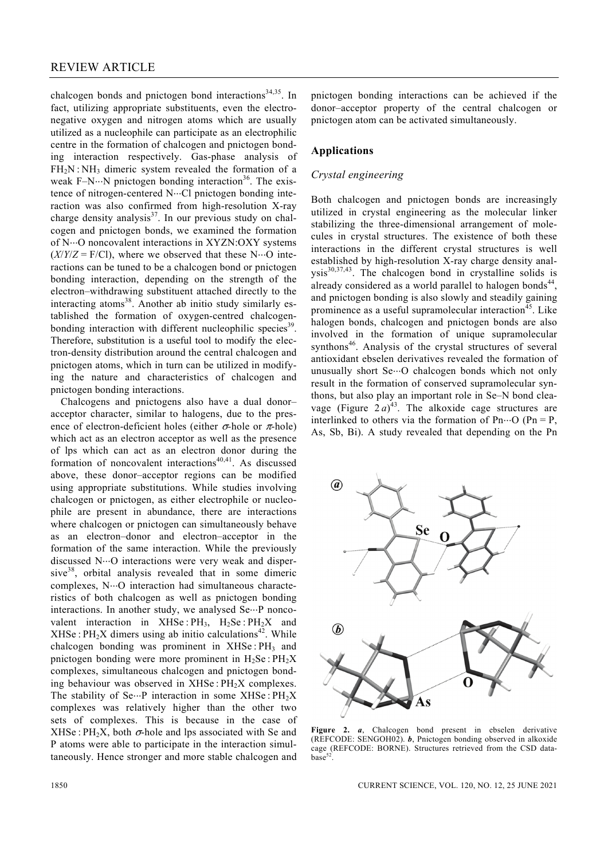chalcogen bonds and pnictogen bond interactions $34,35$ . In fact, utilizing appropriate substituents, even the electronegative oxygen and nitrogen atoms which are usually utilized as a nucleophile can participate as an electrophilic centre in the formation of chalcogen and pnictogen bonding interaction respectively. Gas-phase analysis of FH<sub>2</sub>N : NH<sub>3</sub> dimeric system revealed the formation of a weak F–N⋅⋅⋅N pnictogen bonding interaction<sup>36</sup>. The existence of nitrogen-centered N⋅⋅⋅Cl pnictogen bonding interaction was also confirmed from high-resolution X-ray charge density analysis<sup>37</sup>. In our previous study on chalcogen and pnictogen bonds, we examined the formation of N⋅⋅⋅O noncovalent interactions in XYZN:OXY systems  $(X/Y/Z = F/CI)$ , where we observed that these N $\cdots$ O interactions can be tuned to be a chalcogen bond or pnictogen bonding interaction, depending on the strength of the electron–withdrawing substituent attached directly to the interacting atoms<sup>38</sup>. Another ab initio study similarly established the formation of oxygen-centred chalcogenbonding interaction with different nucleophilic species<sup>39</sup>. Therefore, substitution is a useful tool to modify the electron-density distribution around the central chalcogen and pnictogen atoms, which in turn can be utilized in modifying the nature and characteristics of chalcogen and pnictogen bonding interactions.

 Chalcogens and pnictogens also have a dual donor– acceptor character, similar to halogens, due to the presence of electron-deficient holes (either σ*-*hole or π-hole) which act as an electron acceptor as well as the presence of lps which can act as an electron donor during the formation of noncovalent interactions $40,41$ . As discussed above, these donor–acceptor regions can be modified using appropriate substitutions. While studies involving chalcogen or pnictogen, as either electrophile or nucleophile are present in abundance, there are interactions where chalcogen or pnictogen can simultaneously behave as an electron–donor and electron–acceptor in the formation of the same interaction. While the previously discussed N⋅⋅⋅O interactions were very weak and dispersive<sup>38</sup>, orbital analysis revealed that in some dimeric complexes, N···O interaction had simultaneous characteristics of both chalcogen as well as pnictogen bonding interactions. In another study, we analysed Se…P noncovalent interaction in XHSe :  $PH_3$ ,  $H_2Se$  :  $PH_2X$  and  $XHSe: PH<sub>2</sub>X$  dimers using ab initio calculations<sup>42</sup>. While chalcogen bonding was prominent in  $XHSe:PH<sub>3</sub>$  and pnictogen bonding were more prominent in  $H_2$ Se :  $PH_2X$ complexes, simultaneous chalcogen and pnictogen bonding behaviour was observed in  $XHSe: PH<sub>2</sub>X$  complexes. The stability of Se $\cdots$ P interaction in some XHSe : PH<sub>2</sub>X complexes was relatively higher than the other two sets of complexes. This is because in the case of XHSe : PH<sub>2</sub>X, both  $\sigma$ -hole and lps associated with Se and P atoms were able to participate in the interaction simultaneously. Hence stronger and more stable chalcogen and

pnictogen bonding interactions can be achieved if the donor–acceptor property of the central chalcogen or pnictogen atom can be activated simultaneously.

# **Applications**

# *Crystal engineering*

Both chalcogen and pnictogen bonds are increasingly utilized in crystal engineering as the molecular linker stabilizing the three-dimensional arrangement of molecules in crystal structures. The existence of both these interactions in the different crystal structures is well established by high-resolution X-ray charge density anal $ysis<sup>30,37,43</sup>$ . The chalcogen bond in crystalline solids is already considered as a world parallel to halogen bonds<sup>44</sup>, and pnictogen bonding is also slowly and steadily gaining prominence as a useful supramolecular interaction<sup>45</sup>. Like halogen bonds, chalcogen and pnictogen bonds are also involved in the formation of unique supramolecular synthons<sup>46</sup>. Analysis of the crystal structures of several antioxidant ebselen derivatives revealed the formation of unusually short Se…O chalcogen bonds which not only result in the formation of conserved supramolecular synthons, but also play an important role in Se–N bond cleavage (Figure  $2a)^{43}$ . The alkoxide cage structures are interlinked to others via the formation of Pn $\cdots$ O (Pn = P, As, Sb, Bi). A study revealed that depending on the Pn



**Figure 2.** *a*, Chalcogen bond present in ebselen derivative (REFCODE: SENGOH02). *b*, Pnictogen bonding observed in alkoxide cage (REFCODE: BORNE). Structures retrieved from the CSD data $base^{52}$ 

1850 CURRENT SCIENCE, VOL. 120, NO. 12, 25 JUNE 2021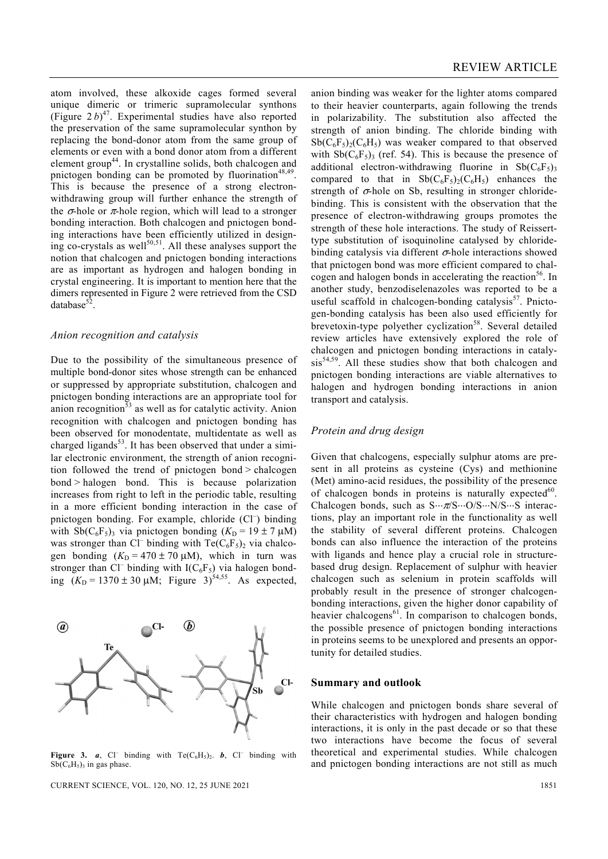atom involved, these alkoxide cages formed several unique dimeric or trimeric supramolecular synthons (Figure  $2 b)^{47}$ . Experimental studies have also reported the preservation of the same supramolecular synthon by replacing the bond-donor atom from the same group of elements or even with a bond donor atom from a different element group<sup>44</sup>. In crystalline solids, both chalcogen and pnictogen bonding can be promoted by fluorination<sup>48,49</sup>. This is because the presence of a strong electronwithdrawing group will further enhance the strength of the  $\sigma$ -hole or  $\pi$ -hole region, which will lead to a stronger bonding interaction. Both chalcogen and pnictogen bonding interactions have been efficiently utilized in designing co-crystals as well<sup>50,51</sup>. All these analyses support the notion that chalcogen and pnictogen bonding interactions are as important as hydrogen and halogen bonding in crystal engineering. It is important to mention here that the dimers represented in Figure 2 were retrieved from the CSD database $52$ .

#### *Anion recognition and catalysis*

Due to the possibility of the simultaneous presence of multiple bond-donor sites whose strength can be enhanced or suppressed by appropriate substitution, chalcogen and pnictogen bonding interactions are an appropriate tool for anion recognition<sup>53</sup> as well as for catalytic activity. Anion recognition with chalcogen and pnictogen bonding has been observed for monodentate, multidentate as well as charged ligands<sup>53</sup>. It has been observed that under a similar electronic environment, the strength of anion recognition followed the trend of pnictogen bond > chalcogen bond > halogen bond. This is because polarization increases from right to left in the periodic table, resulting in a more efficient bonding interaction in the case of pnictogen bonding. For example, chloride (Cl<sup>-</sup>) binding with Sb( $C_6F_5$ )<sub>3</sub> via pnictogen bonding ( $K<sub>D</sub>$  = 19 ± 7  $\mu$ M) was stronger than Cl<sup>–</sup> binding with Te( $C_6F_5$ )<sub>2</sub> via chalcogen bonding  $(K_D = 470 \pm 70 \mu M)$ , which in turn was stronger than Cl<sup>–</sup> binding with  $I(C_6F_5)$  via halogen bonding  $(K_D = 1370 \pm 30 \mu M)$ ; Figure 3)<sup>54,55</sup>. As expected,

Figure 3.  $a$ , Cl<sup>–</sup> binding with Te( $C_6H_5$ )<sub>2</sub>. *b*, Cl<sup>–</sup> binding with  $Sb(C_6H_5)$ <sub>3</sub> in gas phase.

anion binding was weaker for the lighter atoms compared to their heavier counterparts, again following the trends in polarizability. The substitution also affected the strength of anion binding. The chloride binding with  $Sb(C_6F_5)_{2}(C_6H_5)$  was weaker compared to that observed with  $\text{Sb}(C_6F_5)$  (ref. 54). This is because the presence of additional electron-withdrawing fluorine in  $Sb(C_6F_5)$ compared to that in  $\mathrm{Sb}(C_6F_5)_{2}(C_6H_5)$  enhances the strength of  $\sigma$ -hole on Sb, resulting in stronger chloridebinding. This is consistent with the observation that the presence of electron-withdrawing groups promotes the strength of these hole interactions. The study of Reisserttype substitution of isoquinoline catalysed by chloridebinding catalysis via different  $\sigma$ -hole interactions showed that pnictogen bond was more efficient compared to chalcogen and halogen bonds in accelerating the reaction<sup>56</sup>. In another study, benzodiselenazoles was reported to be a useful scaffold in chalcogen-bonding catalysis $57$ . Pnictogen-bonding catalysis has been also used efficiently for brevetoxin-type polyether cyclization<sup>58</sup>. Several detailed review articles have extensively explored the role of chalcogen and pnictogen bonding interactions in catalysis<sup>54,59</sup>. All these studies show that both chalcogen and pnictogen bonding interactions are viable alternatives to halogen and hydrogen bonding interactions in anion transport and catalysis.

#### *Protein and drug design*

Given that chalcogens, especially sulphur atoms are present in all proteins as cysteine (Cys) and methionine (Met) amino-acid residues, the possibility of the presence of chalcogen bonds in proteins is naturally expected $60$ . Chalcogen bonds, such as S⋅⋅⋅π/S⋅⋅⋅O/S⋅⋅⋅N/S⋅⋅⋅S interactions, play an important role in the functionality as well the stability of several different proteins. Chalcogen bonds can also influence the interaction of the proteins with ligands and hence play a crucial role in structurebased drug design. Replacement of sulphur with heavier chalcogen such as selenium in protein scaffolds will probably result in the presence of stronger chalcogenbonding interactions, given the higher donor capability of heavier chalcogens $^{61}$ . In comparison to chalcogen bonds, the possible presence of pnictogen bonding interactions in proteins seems to be unexplored and presents an opportunity for detailed studies.

### **Summary and outlook**

While chalcogen and pnictogen bonds share several of their characteristics with hydrogen and halogen bonding interactions, it is only in the past decade or so that these two interactions have become the focus of several theoretical and experimental studies. While chalcogen and pnictogen bonding interactions are not still as much

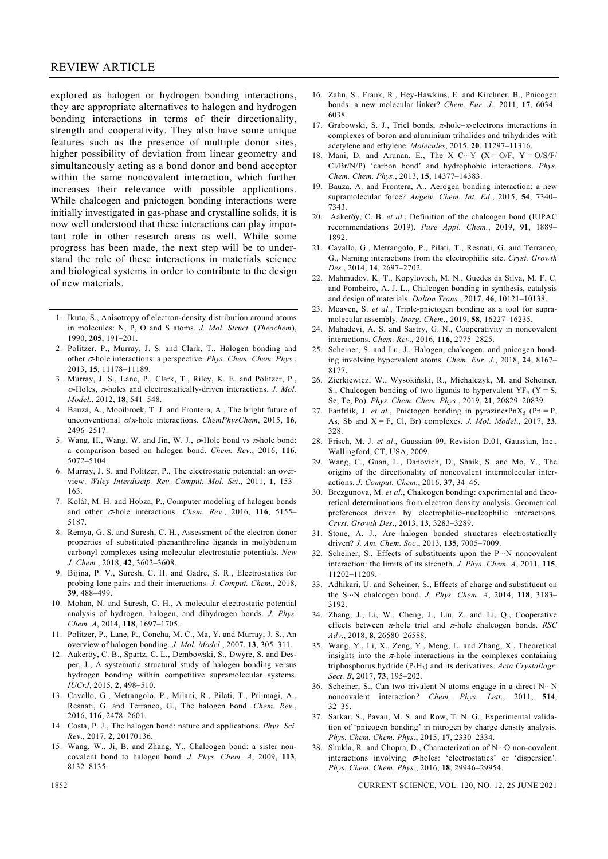# REVIEW ARTICLE

explored as halogen or hydrogen bonding interactions, they are appropriate alternatives to halogen and hydrogen bonding interactions in terms of their directionality, strength and cooperativity. They also have some unique features such as the presence of multiple donor sites, higher possibility of deviation from linear geometry and simultaneously acting as a bond donor and bond acceptor within the same noncovalent interaction, which further increases their relevance with possible applications. While chalcogen and pnictogen bonding interactions were initially investigated in gas-phase and crystalline solids, it is now well understood that these interactions can play important role in other research areas as well. While some progress has been made, the next step will be to understand the role of these interactions in materials science and biological systems in order to contribute to the design of new materials.

- 1. Ikuta, S., Anisotropy of electron-density distribution around atoms in molecules: N, P, O and S atoms. *J. Mol. Struct.* (*Theochem*), 1990, **205**, 191–201.
- 2. Politzer, P., Murray, J. S. and Clark, T., Halogen bonding and other σ-hole interactions: a perspective. *Phys. Chem. Chem. Phys.*, 2013, **15**, 11178–11189.
- 3. Murray, J. S., Lane, P., Clark, T., Riley, K. E. and Politzer, P., <sup>σ</sup>-Holes, π-holes and electrostatically-driven interactions. *J. Mol. Model.*, 2012, **18**, 541–548.
- 4. Bauzá, A., Mooibroek, T. J. and Frontera, A., The bright future of unconventional σ/π-hole interactions. *ChemPhysChem*, 2015, **16**, 2496–2517.
- 5. Wang, H., Wang, W. and Jin, W. J.,  $\sigma$ -Hole bond vs  $\pi$ -hole bond: a comparison based on halogen bond. *Chem. Rev*., 2016, **116**, 5072–5104.
- 6. Murray, J. S. and Politzer, P., The electrostatic potential: an overview. *Wiley Interdiscip. Rev. Comput. Mol. Sci*., 2011, **1**, 153– 163.
- 7. Kolář, M. H. and Hobza, P., Computer modeling of halogen bonds and other σ-hole interactions. *Chem. Rev*., 2016, **116**, 5155– 5187.
- 8. Remya, G. S. and Suresh, C. H., Assessment of the electron donor properties of substituted phenanthroline ligands in molybdenum carbonyl complexes using molecular electrostatic potentials. *New J. Chem.*, 2018, **42**, 3602–3608.
- 9. Bijina, P. V., Suresh, C. H. and Gadre, S. R., Electrostatics for probing lone pairs and their interactions. *J. Comput. Chem.*, 2018, **39**, 488–499.
- 10. Mohan, N. and Suresh, C. H., A molecular electrostatic potential analysis of hydrogen, halogen, and dihydrogen bonds. *J. Phys. Chem. A*, 2014, **118**, 1697–1705.
- 11. Politzer, P., Lane, P., Concha, M. C., Ma, Y. and Murray, J. S., An overview of halogen bonding. *J. Mol. Model*., 2007, **13**, 305–311.
- 12. Aakeröy, C. B., Spartz, C. L., Dembowski, S., Dwyre, S. and Desper, J., A systematic structural study of halogen bonding versus hydrogen bonding within competitive supramolecular systems. *IUCrJ*, 2015, **2**, 498–510.
- 13. Cavallo, G., Metrangolo, P., Milani, R., Pilati, T., Priimagi, A., Resnati, G. and Terraneo, G., The halogen bond. *Chem. Rev*., 2016, **116**, 2478–2601.
- 14. Costa, P. J., The halogen bond: nature and applications. *Phys. Sci. Rev*., 2017, **2**, 20170136.
- 15. Wang, W., Ji, B. and Zhang, Y., Chalcogen bond: a sister noncovalent bond to halogen bond. *J. Phys. Chem. A*, 2009, **113**, 8132–8135.
- 16. Zahn, S., Frank, R., Hey-Hawkins, E. and Kirchner, B., Pnicogen bonds: a new molecular linker? *Chem. Eur. J*., 2011, **17**, 6034– 6038.
- 17. Grabowski, S. J., Triel bonds,  $\pi$ -hole– $\pi$ -electrons interactions in complexes of boron and aluminium trihalides and trihydrides with acetylene and ethylene. *Molecules*, 2015, **20**, 11297–11316.
- 18. Mani, D. and Arunan, E., The X–C…Y (X = O/F, Y = O/S/F/ Cl/Br/N/P) 'carbon bond' and hydrophobic interactions. *Phys. Chem. Chem. Phys*., 2013, **15**, 14377–14383.
- 19. Bauza, A. and Frontera, A., Aerogen bonding interaction: a new supramolecular force? *Angew. Chem. Int. Ed*., 2015, **54**, 7340– 7343.
- 20. Aakeröy, C. B. *et al.*, Definition of the chalcogen bond (IUPAC recommendations 2019). *Pure Appl. Chem.*, 2019, **91**, 1889– 1892.
- 21. Cavallo, G., Metrangolo, P., Pilati, T., Resnati, G. and Terraneo, G., Naming interactions from the electrophilic site. *Cryst. Growth Des.*, 2014, **14**, 2697–2702.
- 22. Mahmudov, K. T., Kopylovich, M. N., Guedes da Silva, M. F. C. and Pombeiro, A. J. L., Chalcogen bonding in synthesis, catalysis and design of materials. *Dalton Trans.*, 2017, **46**, 10121–10138.
- 23. Moaven, S. *et al.*, Triple-pnictogen bonding as a tool for supramolecular assembly*. Inorg. Chem*., 2019, **58**, 16227–16235.
- 24. Mahadevi, A. S. and Sastry, G. N., Cooperativity in noncovalent interactions. *Chem. Rev*., 2016, **116**, 2775–2825.
- 25. Scheiner, S. and Lu, J., Halogen, chalcogen, and pnicogen bonding involving hypervalent atoms. *Chem. Eur. J*., 2018, **24**, 8167– 8177.
- 26. Zierkiewicz, W., Wysokiński, R., Michalczyk, M. and Scheiner, S., Chalcogen bonding of two ligands to hypervalent  $YF_4$  ( $Y = S$ , Se, Te, Po). *Phys. Chem. Chem. Phys*., 2019, **21**, 20829–20839.
- 27. Fanfrlik, J. *et al.*, Pnictogen bonding in pyrazine• $\text{PnX}_5$  (Pn = P, As, Sb and X = F, Cl, Br) complexes. *J. Mol. Model*., 2017, **23**, 328.
- 28. Frisch, M. J. *et al*., Gaussian 09, Revision D.01, Gaussian, Inc., Wallingford, CT, USA, 2009.
- 29. Wang, C., Guan, L., Danovich, D., Shaik, S. and Mo, Y., The origins of the directionality of noncovalent intermolecular interactions. *J. Comput. Chem.*, 2016, **37**, 34–45.
- 30. Brezgunova, M. *et al.*, Chalcogen bonding: experimental and theoretical determinations from electron density analysis. Geometrical preferences driven by electrophilic–nucleophilic interactions. *Cryst. Growth Des*., 2013, **13**, 3283–3289.
- 31. Stone, A. J., Are halogen bonded structures electrostatically driven? *J. Am. Chem. Soc*., 2013, **135**, 7005–7009.
- 32. Scheiner, S., Effects of substituents upon the P⋅⋅⋅N noncovalent interaction: the limits of its strength. *J. Phys. Chem. A*, 2011, **115**, 11202–11209.
- 33. Adhikari, U. and Scheiner, S., Effects of charge and substituent on the S⋅⋅⋅N chalcogen bond. *J. Phys. Chem. A*, 2014, **118**, 3183– 3192.
- 34. Zhang, J., Li, W., Cheng, J., Liu, Z. and Li, Q., Cooperative effects between π-hole triel and π-hole chalcogen bonds. *RSC Adv*., 2018, **8**, 26580–26588.
- 35. Wang, Y., Li, X., Zeng, Y., Meng, L. and Zhang, X., Theoretical insights into the  $\pi$ -hole interactions in the complexes containing triphosphorus hydride (P3H3) and its derivatives. *Acta Crystallogr*. *Sect. B*, 2017, **73**, 195–202.
- 36. Scheiner, S., Can two trivalent N atoms engage in a direct N⋅⋅⋅N noncovalent interaction*? Chem. Phys. Lett*., 2011, **514**, 32–35.
- 37. Sarkar, S., Pavan, M. S. and Row, T. N. G., Experimental validation of 'pnicogen bonding' in nitrogen by charge density analysis. *Phys. Chem. Chem. Phys.*, 2015, **17**, 2330–2334.
- 38. Shukla, R. and Chopra, D., Characterization of N⋅⋅⋅O non-covalent interactions involving  $\sigma$ -holes: 'electrostatics' or 'dispersion'. *Phys. Chem. Chem. Phys.*, 2016, **18**, 29946–29954.